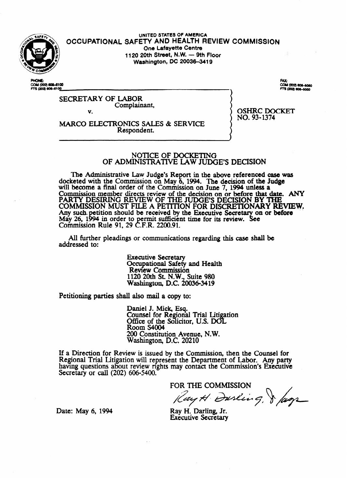

UNITED STATES OF AMERICA OCCUPATIONAL SAFETY AND HEALTH REVIEW COMMISSION One Lafayette Centre 1120 20th Street, N.W. - 9th Floor Washington, DC 20036-3419

**PHONE-**COM (202) 806-6100 FTS (202) 606-6100

COM (202) 606-6060 3 (202) 806-4050

**SECRETARY OF LABOR** Complainant,

V.

MARCO ELECTRONICS SALES & SERVICE Respondent.

**OSHRC DOCKET** NO. 93-1374

# NOTICE OF DOCKETING OF ADMINISTRATIVE LAW JUDGE'S DECISION

The Administrative Law Judge's Report in the above referenced case was docketed with the Commission on May 6, 1994. The decision of the Judge will become a final order of the Commission on June 7, 1994 unless a Commission member directs review of the decision on or before that date. ANY<br>PARTY DESIRING REVIEW OF THE JUDGE'S DECISION BY THE<br>COMMISSION MUST FILE A PETITION FOR DISCRETIONARY REVIEW. Any such petition should be received by the Executive Secretary on or before<br>May 26, 1994 in order to permit sufficient time for its review. See<br>Commission Rule 91, 29 C.F.R. 2200.91.

All further pleadings or communications regarding this case shall be addressed to:

> **Executive Secretary** Occupational Safety and Health Review Commission 1120 20th St. N.W., Suite 980<br>Washington, D.C. 20036-3419

Petitioning parties shall also mail a copy to:

Daniel J. Mick, Esq. Counsel for Regional Trial Litigation Office of the Solicitor, U.S. DOL **Room S4004** 200 Constitution Avenue, N.W. Washington, D.C. 20210

If a Direction for Review is issued by the Commission, then the Counsel for Regional Trial Litigation will represent the Department of Labor. Any party having questions about review rights may contact the Commission's Executive Secretary or call (202) 606-5400.

FOR THE COMMISSION

Ray H Dusling, & Jags

Ray H. Darling, Jr. Executive Secretary

Date: May 6, 1994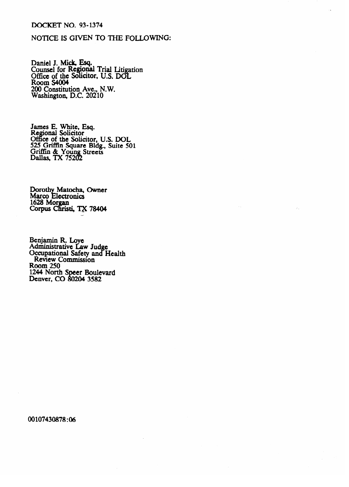# **DOCKET NO. 93-1374**

# NOTICE IS GIVEN TO THE FOLLOWING:

Daniel J. Mick, Esq.<br>Counsel for Regional Trial Litigation<br>Office of the Solicitor, U.S. DOL<br>Room S4004<br>200 Constitution Ave., N.W.<br>Washington, D.C. 20210

James E. White, Esq.<br>Regional Solicitor<br>Office of the Solicitor, U.S. DOL<br>525 Griffin Square Bldg., Suite 501<br>Griffin & Young Streets<br>Dallas, TX 75202

Dorothy Matocha, Owner<br>Marco Electronics 1628 Morgan<br>Corpus Christi, TX 78404

Benjamin R. Loye<br>Administrative Law Judge<br>Occupational Safety and Health<br>Review Commission **Room 250** 1244 North Speer Boulevard<br>Denver, CO 80204 3582

00107430878:06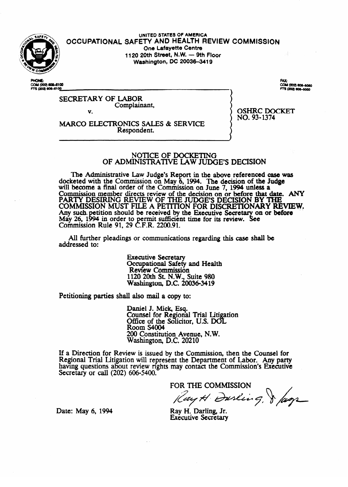

UNITED STATES OF AMERICA OCCUPATIONAL SAFETY AND HEALTH REVIEW COMMISSION One Lafayette Centre 1120 20th Street, N.W. - 9th Floor Washington, DC 20036-3419

**PHONE-**COM (202) 806-6100 FTS (202) 606-6100

COM (202) 606-6060 3 (202) 806-4050

**SECRETARY OF LABOR** Complainant,

V.

MARCO ELECTRONICS SALES & SERVICE Respondent.

**OSHRC DOCKET** NO. 93-1374

# NOTICE OF DOCKETING OF ADMINISTRATIVE LAW JUDGE'S DECISION

The Administrative Law Judge's Report in the above referenced case was docketed with the Commission on May 6, 1994. The decision of the Judge will become a final order of the Commission on June 7, 1994 unless a Commission member directs review of the decision on or before that date. ANY<br>PARTY DESIRING REVIEW OF THE JUDGE'S DECISION BY THE<br>COMMISSION MUST FILE A PETITION FOR DISCRETIONARY REVIEW. Any such petition should be received by the Executive Secretary on or before<br>May 26, 1994 in order to permit sufficient time for its review. See<br>Commission Rule 91, 29 C.F.R. 2200.91.

All further pleadings or communications regarding this case shall be addressed to:

> **Executive Secretary** Occupational Safety and Health Review Commission 1120 20th St. N.W., Suite 980<br>Washington, D.C. 20036-3419

Petitioning parties shall also mail a copy to:

Daniel J. Mick, Esq. Counsel for Regional Trial Litigation Office of the Solicitor, U.S. DOL **Room S4004** 200 Constitution Avenue, N.W. Washington, D.C. 20210

If a Direction for Review is issued by the Commission, then the Counsel for Regional Trial Litigation will represent the Department of Labor. Any party having questions about review rights may contact the Commission's Executive Secretary or call (202) 606-5400.

FOR THE COMMISSION

Ray H Dusling, & Jags

Ray H. Darling, Jr. Executive Secretary

Date: May 6, 1994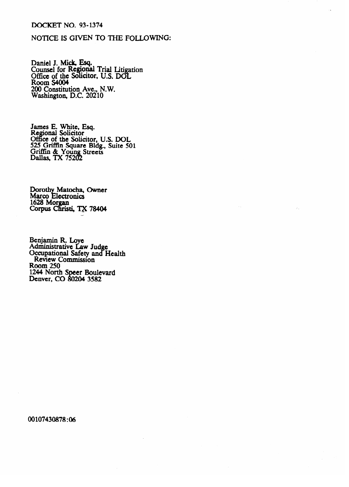# **DOCKET NO. 93-1374**

# NOTICE IS GIVEN TO THE FOLLOWING:

Daniel J. Mick, Esq.<br>Counsel for Regional Trial Litigation<br>Office of the Solicitor, U.S. DOL<br>Room S4004<br>200 Constitution Ave., N.W.<br>Washington, D.C. 20210

James E. White, Esq.<br>Regional Solicitor<br>Office of the Solicitor, U.S. DOL<br>525 Griffin Square Bldg., Suite 501<br>Griffin & Young Streets<br>Dallas, TX 75202

Dorothy Matocha, Owner<br>Marco Electronics 1628 Morgan<br>Corpus Christi, TX 78404

Benjamin R. Loye<br>Administrative Law Judge<br>Occupational Safety and Health<br>Review Commission **Room 250** 1244 North Speer Boulevard<br>Denver, CO 80204 3582

00107430878:06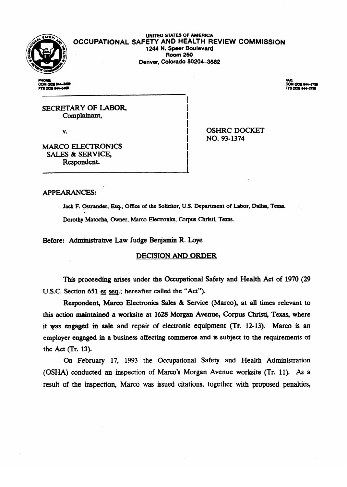

# **UNITED STATES OF AMERICA OCCUPATIONAL SAFETY AND HEALTH REVIEW COMMISSION 1244 N. Speer Boulevard Room 250** Room 250 **hwer, Colorado 80204-3582**

I i. I I

.<br>I **I**  I

COM (303) 844-3408<br>FTS (303) 844-3409

**FAX:<br>COM (303) 844-3758<br>FTS (303) 844-3759** 

SECRETARY OF LABOR, Complainant,

v.

OSHRC DOCKET<br>NO. 93-1374 I NO. 93-1374

**MARCO ELECTRONICS** SALES & SERVICE. Respondent. Respondent.

# **APPEARANCES:**

Jack F. Ostrander, Esq., Office of the Solicitor, U.S. Department of Labor, Dallas, Texas. Dorothy Matocha, Owner, Marco Electronics, Corpus Christi, Texas.

Before: Administrative Law Judge Benjamin R. Loye

# **DECISION AND ORDER**

This proceeding arises under the Occupational Safety and Health Act of 1970 (29 U.S.C. Section 651 et seq.; hereafter called the "Act").

Respondent, Marco Electronics Sales & Service (Marco), at all times relevant to this action maintained a worksite at 1628 Morgan Avenue, Corpus Christi, Texas, where it was engaged in sale and repair of electronic equipment (Tr. 12-13). Marco is an employer engaged in a business affecting commerce and is subject to the requirements of the Act (Tr. 13).

On February 17, 1993 the Occupational Safety and Health Administration (OSHA) conducted an inspection of Marco's Morgan Avenue worksite (Tr. 11). As a result of the inspection. Marco was issued citations, together with proposed penalties,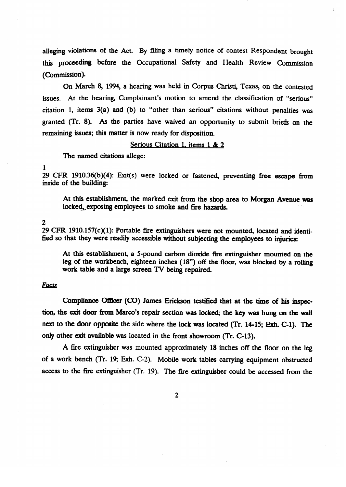alleging violations of the Act. By filing a timely notice of contest Respondent brought this proceeding before the Occupational Safety and Health Review Commission (commission).

On March 8, 1994, a hearing was held in Corpus Christi, Texas, on the contested issues. At the hearing, Complainant's motion to amend the classification of "serious" citation 1, items 3(a) and (b) to "other than serious" citations without penalties was granted (Tr. 8). As the parties have waived an opportunity to submit briefs on the remaining issues; this matter is now ready for disposition.

# Serious Citation 1, items 1 & 2

Serious Citation 1, items 1 & *2* 

#### 1

29 CFR 1910.36(b)(4): Exit(s) were locked or fastened, preventing free escape from inside of the building:

locked, exposing employees to smoke and fire hazards.  $\mathcal{L}_{\text{max}} = \frac{1}{2} \sum_{i=1}^{n} \frac{1}{2} \sum_{i=1}^{n} \sum_{j=1}^{n} \sum_{j=1}^{n} \sum_{j=1}^{n} \sum_{j=1}^{n} \sum_{j=1}^{n} \sum_{j=1}^{n} \sum_{j=1}^{n} \sum_{j=1}^{n} \sum_{j=1}^{n} \sum_{j=1}^{n} \sum_{j=1}^{n} \sum_{j=1}^{n} \sum_{j=1}^{n} \sum_{j=1}^{n} \sum_{j=1}^{n} \sum_{j=1}^{n} \sum_{j=1}^{n} \sum_{j$ 

### $\overline{2}$

29 CFR 1910.157(c)(1): Portable fire extinguishers were not mounted, located and identified so that they were readily accessible without subjecting the employees to injuries:

At this establishment, a 5-pound carbon dioxide fire extinguisher mounted on the leg of the workbench, eighteen inches (18") off the floor, was blocked by a rolling work table and a large screen TV being repaired.

# **Facts**

Compliance Officer (CO) James Erickson testified that at the time of his inspection, the exit door from Marco's repair section was locked; the key was hung on the wall next to the door opposite the side where the lock was located (Tr. 14-15; Exh. C-1). The only other exit available was located in the front showroom (Tr. C-13).

work table and a large screen TV being repaired.

A fire extinguisher was mounted approximately 18 inches off the floor on the leg access to the me exhiguisher (Tr. 19). The me exhiguisher could be accessed from the of a work bench (Tr. 19; Exh. C-2). Mobile work tables carrying equipment obstructed

 $\overline{2}$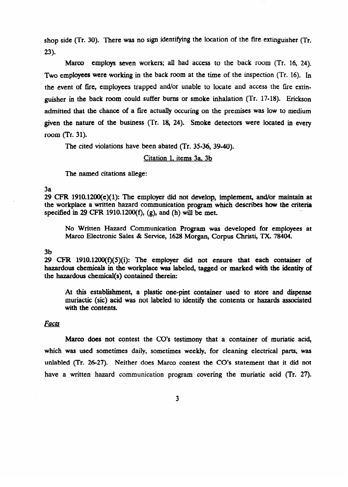shop side (Tr. 30). There was no sign identifying the location of the fire extinguisher (Tr.  $23$ ).

Marco employs seven workers; all had access to the back room (Tr. 16, 24). Two employees were working in the back room at the time of the inspection (Tr. 16). In the event of fire, employees trapped and/or unable to locate and access the fire extinguisher in the back room could suffer burns or smoke inhalation (Tr. 17-18). Erickson admitted that the chance of a fire actually occuring on the premises was low to medium given the nature of the business (Tr. 18, 24). Smoke detectors were located in every room (Tr. 31).

The cited violations have been abated (Tr. 35-36, 39-40).

# Citation 1, items 3a. 3b

The named citations allege:

3a<br>29 CFR 1910.1200(e)(1): The employer did not develop, implement, and/or maintain at  $29$  CFR 1910.1200(e)(1): The employer did not develop, implement, and/or maintain at the workplace a written hazard communication program which describes how the criteria specified in  $29$  CFR 1910.1200(f), (g), and (h) will be met. . .

No Written Traditie Communication Program was developed for employees at Marco Electronic Sales & Service, 1628 Morgan, Corpus Christi, TX. 78404.

#### $3<sub>b</sub>$

29 CFR  $1910.1200(f)(5)(i)$ : The employer did not ensure that each container of  $\frac{2}{3}$  contains the employer of the matrix  $\frac{2}{3}$  ( $\frac{2}{3}$ ) and the employer did not ensure that  $\frac{2}{3}$  contains  $\frac{2}{3}$  contains  $\frac{2}{3}$ the hazardous chemical(s) contained therein:  $\mathbf{t}$ with the identity of

At this establishment, a plastic one-pint container used to store and dispense muriactic (sic) acid was not labeled to identify the contents or hazards associated with the contents.

# Facts

Marco does not contest the CO's testimony that a container of muriatic acid, which was used sometimes daily, sometimes weekly, for cleaning electrical parts, was unlabled (Tr. 26-27). Neither does Marco contest the CO's statement that it did not have a written hazard communication program covering the muriatic acid (Tr. 27).

 $\overline{\mathbf{3}}$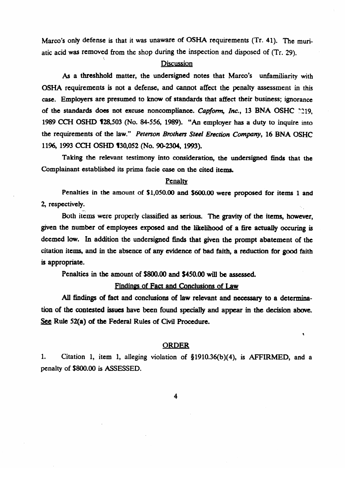Marco's only defense is that it was unaware of OSHA requirements (Tr. 41). The muriatic acid was removed from the shop during the inspection and disposed of  $(T<sub>r</sub>, 29)$ .

# Discussion

As a threshhold matter, the undersigned notes that Marco's unfamiliarity with OSHA requirements is not a defense, and cannot affect the penalty assessment in this case. Employers are presumed to know of standards that affect their business; ignorance of the standards does not excuse noncompliance. *Capform, Inc.*, 13 BNA OSHC 3219, 1989 CCH OSHD q28,503 (No. 84556, 1989). "An employer has a duty to inquire into the requirements of the law." *Peterson Brothers Steel Erection* Company, 16 BNA OSHC

Taking the relevant testimony into consideration, the undersigned finds that the  $\sim$  testimony into consideration, the undersideration, the undersideration, the undersideration, the undersideration,  $\sim$ Complainant established its

# prima facie case on the cited items. The cited items. The cited items. The cited items. The cited items. The cited items. The cited items. The cited items. The cited items. The cited items. The cited items. The cited items

Penalties in the amount of \$1,050.00 and \$600.00 were proposed for items 1 and  $\mathbf{P}$ entius $\mathbf{b}_k$ 

Both items were properly classified as serious. The gravity of the items, however, given the number of employees exposed and the likelihood of a fire actually occuring is deemed low. In addition the undersigned finds that given the prompt abatement of the citation items, and in the absence of any evidence of bad faith, a reduction for good faith is appropriate.

Penalties in the amount of \$800.00 and \$450.00 will be assessed.

# Findings of Fact and Conclusions of Law

All findings of fact and conclusions of law relevant and necessary to a determination of the contested issues have been found specially and appear in the decision above. See Rule 52(a) of the Federal Rules of Civil Procedure.

# **ORDER**

 $\bar{\mathbf{v}}$ 

 $1.$ Citation 1, item 1, alleging violation of  $$1910.36(b)(4)$ , is AFFIRMED, and a penalty of \$800.00 is ASSESSED.

 $\overline{\mathbf{4}}$